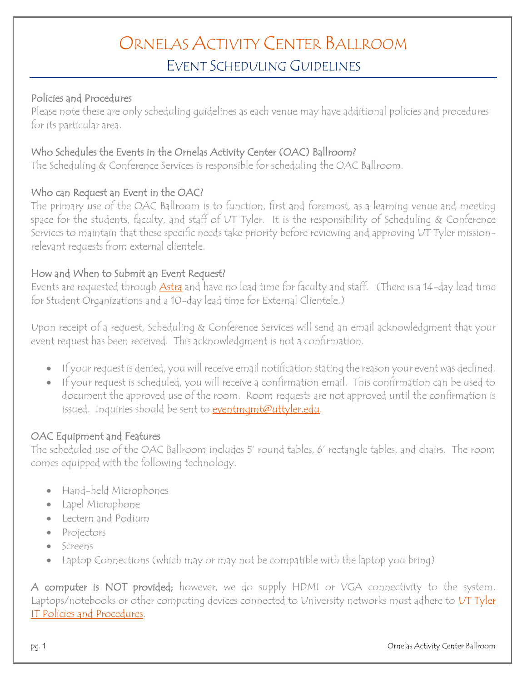# ORNELAS ACTIVITY CENTER BALLROOM EVENT SCHEDULING GUIDELINES

#### Policies and Procedures

Please note these are only scheduling guidelines as each venue may have additional policies and procedures for its particular area.

#### Who Schedules the Events in the Ornelas Activity Center (OAC) Ballroom?

The Scheduling & Conference Services is responsible for scheduling the OAC Ballroom.

#### Who can Request an Event in the OAC?

The primary use of the OAC Ballroom is to function, first and foremost, as a learning venue and meeting space for the students, faculty, and staff of UT Tyler. It is the responsibility of Scheduling & Conference Services to maintain that these specific needs take priority before reviewing and approving UT Tyler missionrelevant requests from external clientele.

#### How and When to Submit an Event Request?

Events are requested through [Astra](https://astraweb.uttyler.edu/Astraprod/Portal/GuestPortal.aspx) and have no lead time for faculty and staff. (There is a 14-day lead time for Student Organizations and a 10-day lead time for External Clientele.)

Upon receipt of a request, Scheduling & Conference Services will send an email acknowledgment that your event request has been received. This acknowledgment is not a confirmation.

- If your request is denied, you will receive email notification stating the reason your event was declined.
- If your request is scheduled, you will receive a confirmation email. This confirmation can be used to document the approved use of the room. Room requests are not approved until the confirmation is issued. Inquiries should be sent to **eventmgmt@uttyler.edu**.

#### OAC Equipment and Features

The scheduled use of the OAC Ballroom includes 5' round tables, 6' rectangle tables, and chairs. The room comes equipped with the following technology.

- Hand-held Microphones
- Lapel Microphone
- Lectern and Podium
- Projectors
- Screens
- Laptop Connections (which may or may not be compatible with the laptop you bring)

A computer is NOT provided; however, we do supply HDMI or VGA connectivity to the system. Laptops/notebooks or other computing devices connected to University networks must adhere to VT Tyler [IT Policies and Procedures.](http://www.uttyler.edu/it/policies/)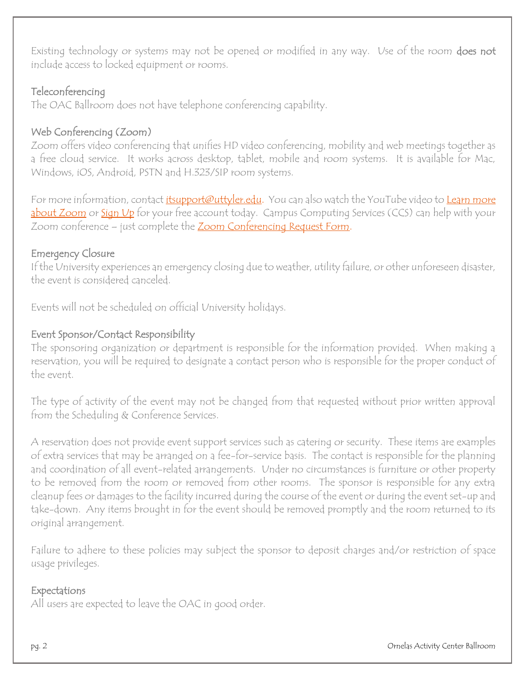Existing technology or systems may not be opened or modified in any way. Use of the room does not include access to locked equipment or rooms.

#### Teleconferencing

The OAC Ballroom does not have telephone conferencing capability.

# Web Conferencing (Zoom)

Zoom offers video conferencing that unifies HD video conferencing, mobility and web meetings together as a free cloud service. It works across desktop, tablet, mobile and room systems. It is available for Mac, Windows, iOS, Android, PSTN and H.323/SIP room systems.

For more information, contact *itsupport@uttyler.edu*. You can also watch the YouTube video to Learn more [about Zoom](https://www.youtube.com/watch?v=hLkSE5grx3M&feature=youtu.be) or [Sign Up](http://www.zoom.us/signup) for your free account today. Campus Computing Services (CCS) can help with your Zoom conference - just complete the [Zoom Conferencing Request Form.](https://uttyler.az1.qualtrics.com/jfe/form/SV_d5UgG5wula1Op25)

# Emergency Closure

If the University experiences an emergency closing due to weather, utility failure, or other unforeseen disaster, the event is considered canceled.

Events will not be scheduled on official University holidays.

# Event Sponsor/Contact Responsibility

The sponsoring organization or department is responsible for the information provided. When making a reservation, you will be required to designate a contact person who is responsible for the proper conduct of the event.

The type of activity of the event may not be changed from that requested without prior written approval from the Scheduling & Conference Services.

A reservation does not provide event support services such as catering or security. These items are examples of extra services that may be arranged on a fee-for-service basis. The contact is responsible for the planning and coordination of all event-related arrangements. Under no circumstances is furniture or other property to be removed from the room or removed from other rooms. The sponsor is responsible for any extra cleanup fees or damages to the facility incurred during the course of the event or during the event set-up and take-down. Any items brought in for the event should be removed promptly and the room returned to its original arrangement.

Failure to adhere to these policies may subject the sponsor to deposit charges and/or restriction of space usage privileges.

# Expectations

All users are expected to leave the OAC in good order.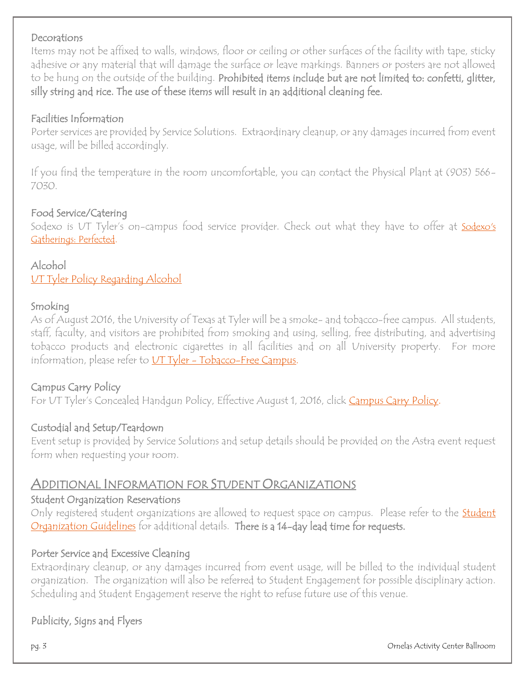#### Decorations

Items may not be affixed to walls, windows, floor or ceiling or other surfaces of the facility with tape, sticky adhesive or any material that will damage the surface or leave markings. Banners or posters are not allowed to be hung on the outside of the building. Prohibited items include but are not limited to: confetti, glitter, silly string and rice. The use of these items will result in an additional cleaning fee.

#### Facilities Information

Porter services are provided by Service Solutions. Extraordinary cleanup, or any damages incurred from event usage, will be billed accordingly.

If you find the temperature in the room uncomfortable, you can contact the Physical Plant at (903) 566- 7030.

#### Food Service/Catering

Sodexo is UT Tyler's on-campus food service provider. Check out what they have to offer at **Sodexo's** [Gatherings: Perfected.](https://uttylercatering.catertrax.com/)

#### Alcohol [UT Tyler Policy Regarding Alcohol](http://www.uttyler.edu/wellness/alcoholpolicies.php)

#### Smoking

As of August 2016, the University of Texas at Tyler will be a smoke- and tobacco-free campus. All students, staff, faculty, and visitors are prohibited from smoking and using, selling, free distributing, and advertising tobacco products and electronic cigarettes in all facilities and on all University property. For more information, please refer to **UT Tyler - Tobacco-Free Campus**.

#### Campus Carry Policy

For UT Tyler's Concealed Handgun Policy, Effective August 1, 2016, click [Campus Carry Policy.](http://catalogs.uttyler.edu/en/UTTyler/HOP/Series-200-General-Policies-and-Procedures/2-10-1-Concealed-Handguns-on-Campus)

#### Custodial and Setup/Teardown

Event setup is provided by Service Solutions and setup details should be provided on the Astra event request form when requesting your room.

### ADDITIONAL INFORMATION FOR STUDENT ORGANIZATIONS

#### Student Organization Reservations

Only registered student organizations are allowed to request space on campus. Please refer to the **Student** [Organization Guidelines](https://www.uttyler.edu/sll/studentorganizations/guidelines.php) for additional details. There is a 14-day lead time for requests.

#### Porter Service and Excessive Cleaning

Extraordinary cleanup, or any damages incurred from event usage, will be billed to the individual student organization. The organization will also be referred to Student Engagement for possible disciplinary action. Scheduling and Student Engagement reserve the right to refuse future use of this venue.

#### Publicity, Signs and Flyers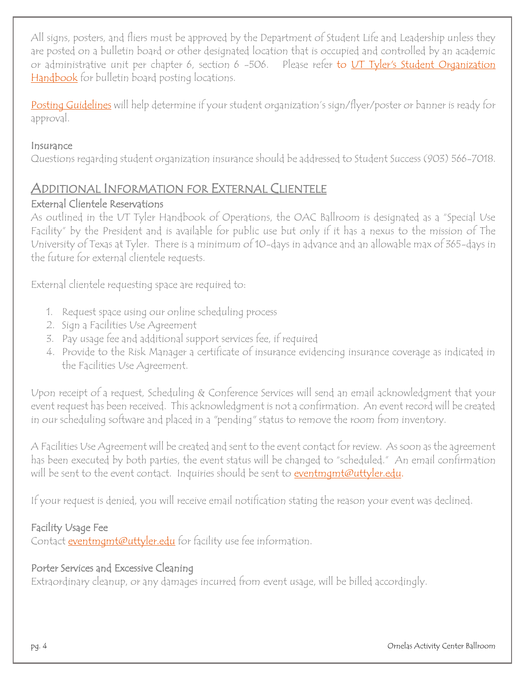All signs, posters, and fliers must be approved by the Department of Student Life and Leadership unless they are posted on a bulletin board or other designated location that is occupied and controlled by an academic or administrative unit per chapter 6, section 6 -506. Please refer to UT Tyler's Student Organization [Handbook](https://www.uttyler.edu/sll/studentorganizations/files/student-organization-handbook.pdf) for bulletin board posting locations.

[Posting Guidelines](http://www.uttyler.edu/sll/studentorganizations/files/PostingGuidelines.pdf) will help determine if your student organization's sign/flyer/poster or banner is ready for approval.

#### Insurance

Questions regarding student organization insurance should be addressed to Student Success (903) 566-7018.

# ADDITIONAL INFORMATION FOR EXTERNAL CLIENTELE

### External Clientele Reservations

As outlined in the UT Tyler Handbook of Operations, the OAC Ballroom is designated as a "Special Use Facility" by the President and is available for public use but only if it has a nexus to the mission of The University of Texas at Tyler. There is a minimum of 10-days in advance and an allowable max of 365-days in the future for external clientele requests.

External clientele requesting space are required to:

- 1. Request space using our online scheduling process
- 2. Sign a Facilities Use Agreement
- 3. Pay usage fee and additional support services fee, if required
- 4. Provide to the Risk Manager a certificate of insurance evidencing insurance coverage as indicated in the Facilities Use Agreement.

Upon receipt of a request, Scheduling & Conference Services will send an email acknowledgment that your event request has been received. This acknowledgment is not a confirmation. An event record will be created in our scheduling software and placed in a "pending" status to remove the room from inventory.

A Facilities Use Agreement will be created and sent to the event contact for review. As soon as the agreement has been executed by both parties, the event status will be changed to "scheduled." An email confirmation will be sent to the event contact. Inquiries should be sent to eventmant@uttyler.edu.

If your request is denied, you will receive email notification stating the reason your event was declined.

#### Facility Usage Fee

Contact [eventmgmt@uttyler.edu](mailto:eventmgmt@uttyler.edu) for facility use fee information.

#### Porter Services and Excessive Cleaning

Extraordinary cleanup, or any damages incurred from event usage, will be billed accordingly.